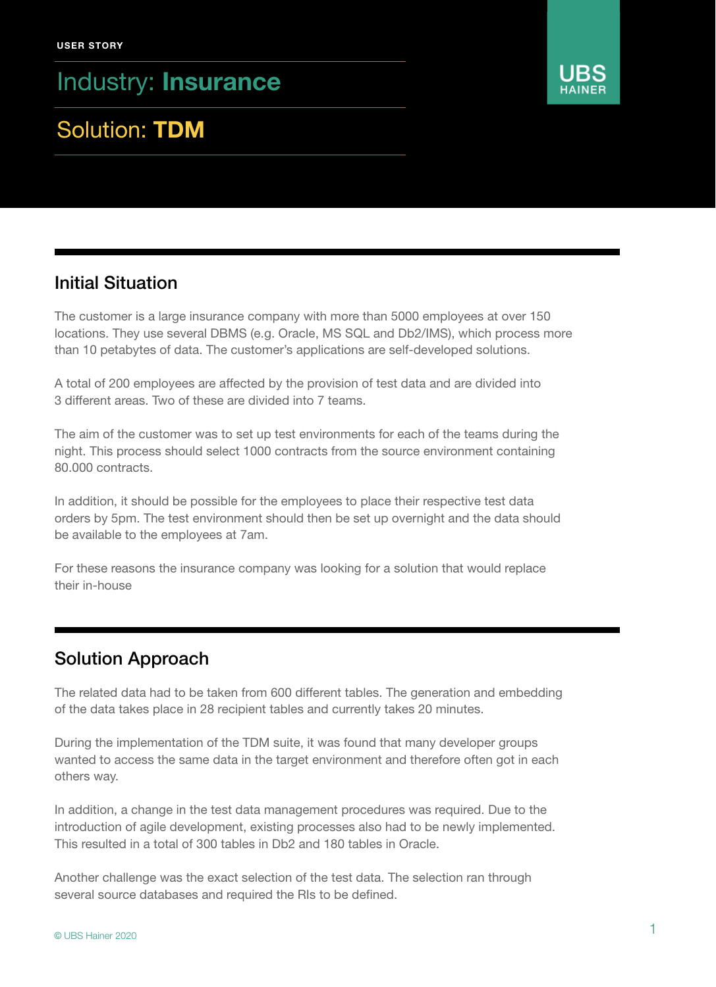Industry: Insurance

# Solution: TDM



### Initial Situation

The customer is a large insurance company with more than 5000 employees at over 150 locations. They use several DBMS (e.g. Oracle, MS SQL and Db2/IMS), which process more than 10 petabytes of data. The customer's applications are self-developed solutions.

A total of 200 employees are affected by the provision of test data and are divided into 3 different areas. Two of these are divided into 7 teams.

The aim of the customer was to set up test environments for each of the teams during the night. This process should select 1000 contracts from the source environment containing 80.000 contracts.

In addition, it should be possible for the employees to place their respective test data orders by 5pm. The test environment should then be set up overnight and the data should be available to the employees at 7am.

For these reasons the insurance company was looking for a solution that would replace their in-house

### Solution Approach

The related data had to be taken from 600 different tables. The generation and embedding of the data takes place in 28 recipient tables and currently takes 20 minutes.

During the implementation of the TDM suite, it was found that many developer groups wanted to access the same data in the target environment and therefore often got in each others way.

In addition, a change in the test data management procedures was required. Due to the introduction of agile development, existing processes also had to be newly implemented. This resulted in a total of 300 tables in Db2 and 180 tables in Oracle.

Another challenge was the exact selection of the test data. The selection ran through several source databases and required the RIs to be defined.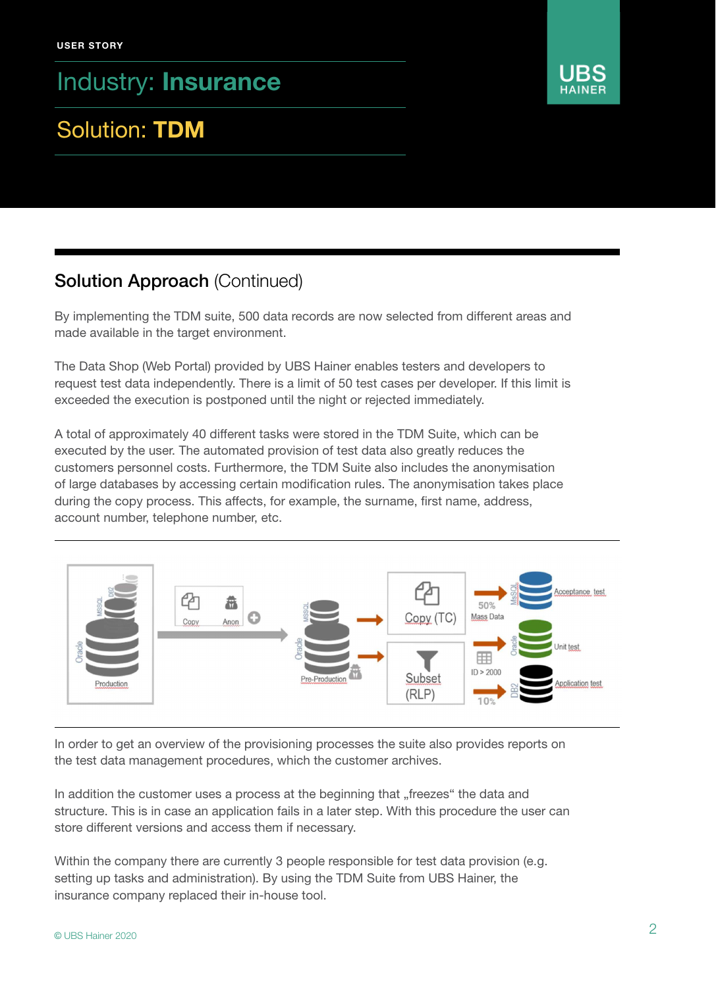Industry: Insurance

# Solution: TDM

## Solution Approach (Continued)

By implementing the TDM suite, 500 data records are now selected from different areas and made available in the target environment.

The Data Shop (Web Portal) provided by UBS Hainer enables testers and developers to request test data independently. There is a limit of 50 test cases per developer. If this limit is exceeded the execution is postponed until the night or rejected immediately.

A total of approximately 40 different tasks were stored in the TDM Suite, which can be executed by the user. The automated provision of test data also greatly reduces the customers personnel costs. Furthermore, the TDM Suite also includes the anonymisation of large databases by accessing certain modification rules. The anonymisation takes place during the copy process. This affects, for example, the surname, first name, address, account number, telephone number, etc.



In order to get an overview of the provisioning processes the suite also provides reports on the test data management procedures, which the customer archives.

In addition the customer uses a process at the beginning that "freezes" the data and structure. This is in case an application fails in a later step. With this procedure the user can store different versions and access them if necessary.

Within the company there are currently 3 people responsible for test data provision (e.g. setting up tasks and administration). By using the TDM Suite from UBS Hainer, the insurance company replaced their in-house tool.